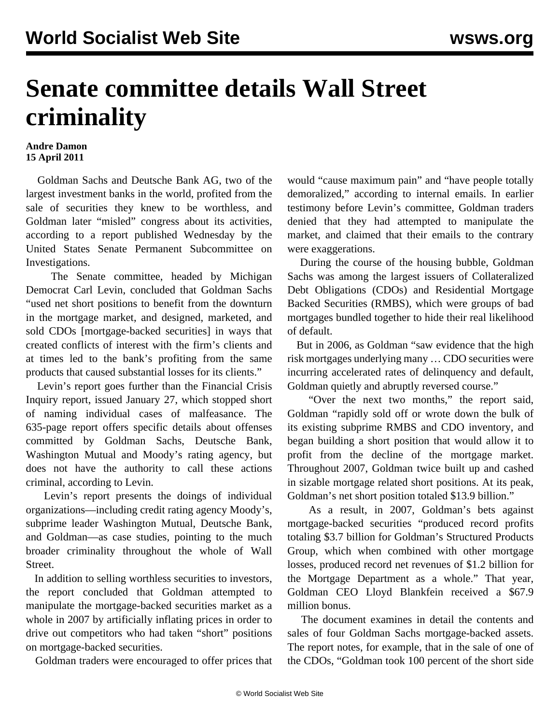## **Senate committee details Wall Street criminality**

## **Andre Damon 15 April 2011**

 Goldman Sachs and Deutsche Bank AG, two of the largest investment banks in the world, profited from the sale of securities they knew to be worthless, and Goldman later "misled" congress about its activities, according to a report published Wednesday by the United States Senate Permanent Subcommittee on Investigations.

 The Senate committee, headed by Michigan Democrat Carl Levin, concluded that Goldman Sachs "used net short positions to benefit from the downturn in the mortgage market, and designed, marketed, and sold CDOs [mortgage-backed securities] in ways that created conflicts of interest with the firm's clients and at times led to the bank's profiting from the same products that caused substantial losses for its clients."

 Levin's report goes further than the Financial Crisis Inquiry report, issued January 27, which stopped short of naming individual cases of malfeasance. The 635-page report offers specific details about offenses committed by Goldman Sachs, Deutsche Bank, Washington Mutual and Moody's rating agency, but does not have the authority to call these actions criminal, according to Levin.

 Levin's report presents the doings of individual organizations—including credit rating agency Moody's, subprime leader Washington Mutual, Deutsche Bank, and Goldman—as case studies, pointing to the much broader criminality throughout the whole of Wall Street.

 In addition to selling worthless securities to investors, the report concluded that Goldman attempted to manipulate the mortgage-backed securities market as a whole in 2007 by artificially inflating prices in order to drive out competitors who had taken "short" positions on mortgage-backed securities.

Goldman traders were encouraged to offer prices that

would "cause maximum pain" and "have people totally demoralized," according to internal emails. In earlier testimony before Levin's committee, Goldman traders denied that they had attempted to manipulate the market, and claimed that their emails to the contrary were exaggerations.

 During the course of the housing bubble, Goldman Sachs was among the largest issuers of Collateralized Debt Obligations (CDOs) and Residential Mortgage Backed Securities (RMBS), which were groups of bad mortgages bundled together to hide their real likelihood of default.

 But in 2006, as Goldman "saw evidence that the high risk mortgages underlying many … CDO securities were incurring accelerated rates of delinquency and default, Goldman quietly and abruptly reversed course."

 "Over the next two months," the report said, Goldman "rapidly sold off or wrote down the bulk of its existing subprime RMBS and CDO inventory, and began building a short position that would allow it to profit from the decline of the mortgage market. Throughout 2007, Goldman twice built up and cashed in sizable mortgage related short positions. At its peak, Goldman's net short position totaled \$13.9 billion."

 As a result, in 2007, Goldman's bets against mortgage-backed securities "produced record profits totaling \$3.7 billion for Goldman's Structured Products Group, which when combined with other mortgage losses, produced record net revenues of \$1.2 billion for the Mortgage Department as a whole." That year, Goldman CEO Lloyd Blankfein received a \$67.9 million bonus.

 The document examines in detail the contents and sales of four Goldman Sachs mortgage-backed assets. The report notes, for example, that in the sale of one of the CDOs, "Goldman took 100 percent of the short side